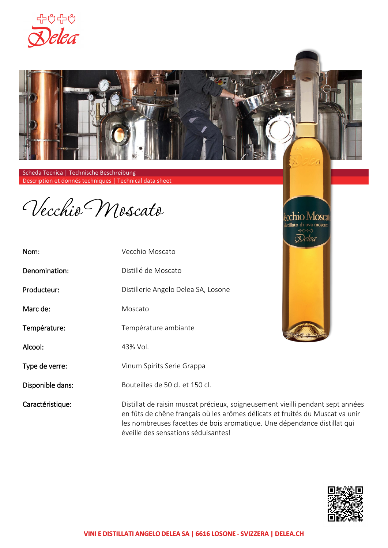



Scheda Tecnica | Technische Beschreibung Description et donnés techniques | Technical data sheet

Vecchio Moscato

| Nom:             | Vecchio Moscato                                                                                                                                                                                                                             |  |
|------------------|---------------------------------------------------------------------------------------------------------------------------------------------------------------------------------------------------------------------------------------------|--|
| Denomination:    | Distillé de Moscato                                                                                                                                                                                                                         |  |
| Producteur:      | Distillerie Angelo Delea SA, Losone                                                                                                                                                                                                         |  |
| Marc de:         | Moscato                                                                                                                                                                                                                                     |  |
| Température:     | Température ambiante                                                                                                                                                                                                                        |  |
| Alcool:          | 43% Vol.                                                                                                                                                                                                                                    |  |
| Type de verre:   | Vinum Spirits Serie Grappa                                                                                                                                                                                                                  |  |
| Disponible dans: | Bouteilles de 50 cl. - 70 cl. et 150 cl.                                                                                                                                                                                                    |  |
| Caractéristique: | Distillat de raisin muscat précieux, soigneusement vieilli pendant sept années<br>en fûts de chêne français où les arômes délicats et fruités du Muscat va unir<br>les nombreuses facettes de bois aromatique. Une dépendance distillat qui |  |





éveille des sensations séduisantes!